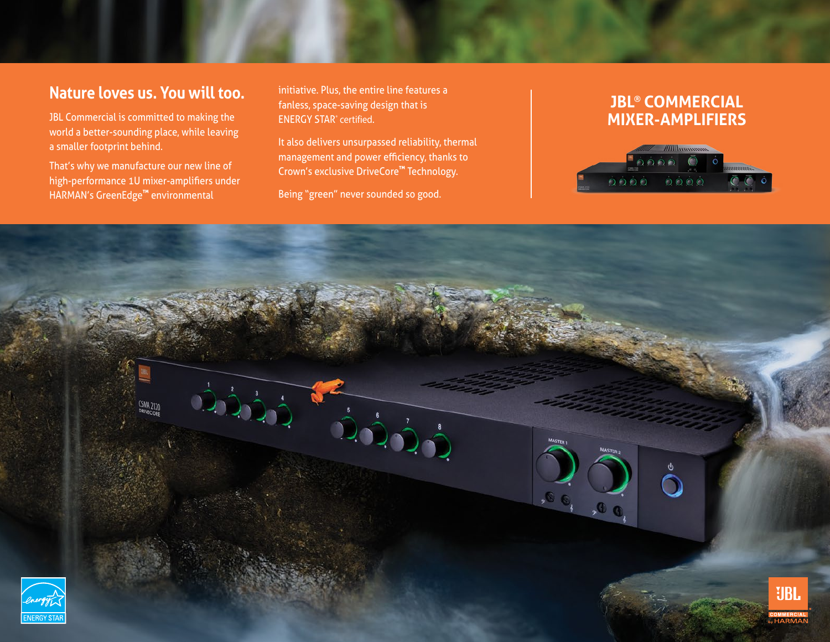# **Nature loves us. You will too.**

JBL Commercial is committed to making the world a better-sounding place, while leaving a smaller footprint behind.

That's why we manufacture our new line of high-performance 1U mixer-amplifiers under HARMAN's GreenEdge**™** environmental

nature. Fus, the entire the reatures a<br>fanless, space-saving design that is initiative. Plus, the entire line features a ENERGY STAR® certified.

It also delivers unsurpassed reliability, thermal  $\begin{vmatrix} 1 & 1 \end{vmatrix}$ management and power efficiency, thanks to Crown's exclusive DriveCore™ Technology.

high-performance 1U Commercial Sound Mixer-Sound Mixer-Sound Mixer-Sound Mixer-Sound Mixer-Sound Mixer-Sound M

#### **ENVIRONMERCIAL** standards, including a low energy powder coat **that uses 23 MIXER-AMPLIFIERS**